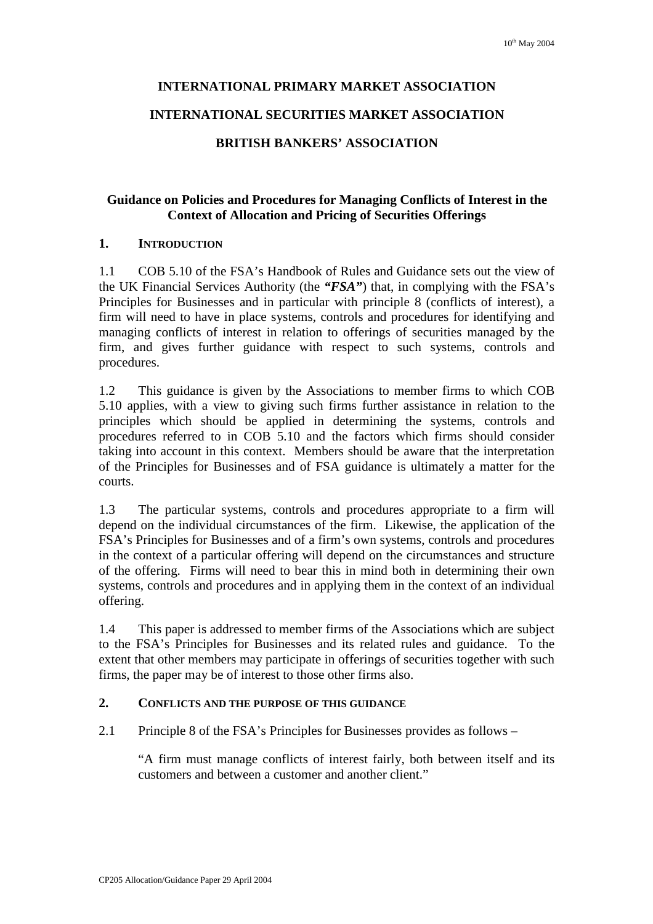# **INTERNATIONAL PRIMARY MARKET ASSOCIATION**

### **INTERNATIONAL SECURITIES MARKET ASSOCIATION**

#### **BRITISH BANKERS' ASSOCIATION**

# **Guidance on Policies and Procedures for Managing Conflicts of Interest in the Context of Allocation and Pricing of Securities Offerings**

#### **1. INTRODUCTION**

1.1 COB 5.10 of the FSA's Handbook of Rules and Guidance sets out the view of the UK Financial Services Authority (the *"FSA"*) that, in complying with the FSA's Principles for Businesses and in particular with principle 8 (conflicts of interest), a firm will need to have in place systems, controls and procedures for identifying and managing conflicts of interest in relation to offerings of securities managed by the firm, and gives further guidance with respect to such systems, controls and procedures.

1.2 This guidance is given by the Associations to member firms to which COB 5.10 applies, with a view to giving such firms further assistance in relation to the principles which should be applied in determining the systems, controls and procedures referred to in COB 5.10 and the factors which firms should consider taking into account in this context. Members should be aware that the interpretation of the Principles for Businesses and of FSA guidance is ultimately a matter for the courts.

1.3 The particular systems, controls and procedures appropriate to a firm will depend on the individual circumstances of the firm. Likewise, the application of the FSA's Principles for Businesses and of a firm's own systems, controls and procedures in the context of a particular offering will depend on the circumstances and structure of the offering. Firms will need to bear this in mind both in determining their own systems, controls and procedures and in applying them in the context of an individual offering.

1.4 This paper is addressed to member firms of the Associations which are subject to the FSA's Principles for Businesses and its related rules and guidance. To the extent that other members may participate in offerings of securities together with such firms, the paper may be of interest to those other firms also.

#### **2. CONFLICTS AND THE PURPOSE OF THIS GUIDANCE**

2.1 Principle 8 of the FSA's Principles for Businesses provides as follows –

"A firm must manage conflicts of interest fairly, both between itself and its customers and between a customer and another client."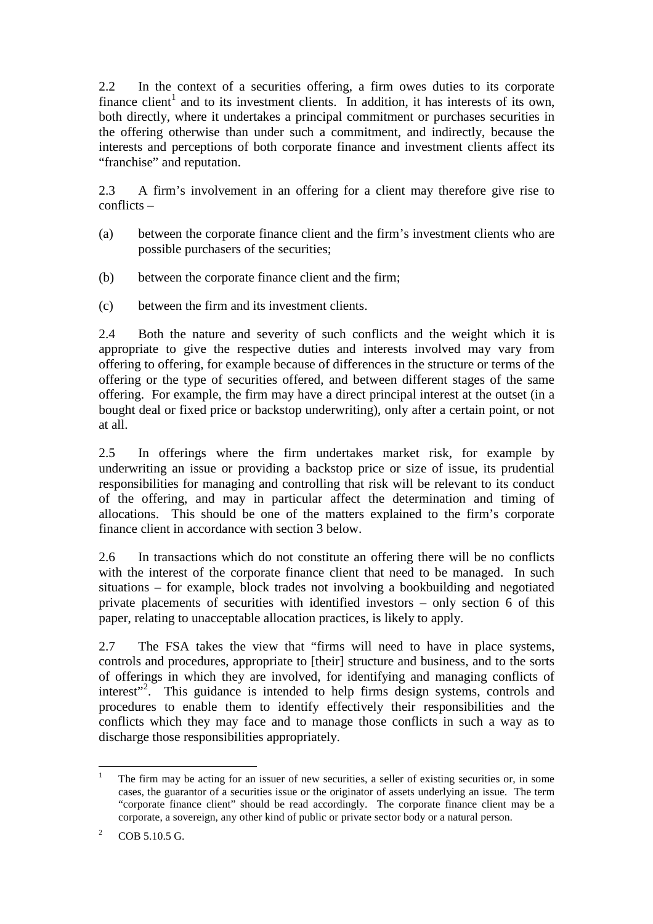2.2 In the context of a securities offering, a firm owes duties to its corporate finance client<sup>1</sup> and to its investment clients. In addition, it has interests of its own, both directly, where it undertakes a principal commitment or purchases securities in the offering otherwise than under such a commitment, and indirectly, because the interests and perceptions of both corporate finance and investment clients affect its "franchise" and reputation.

2.3 A firm's involvement in an offering for a client may therefore give rise to conflicts –

- (a) between the corporate finance client and the firm's investment clients who are possible purchasers of the securities;
- (b) between the corporate finance client and the firm;
- (c) between the firm and its investment clients.

2.4 Both the nature and severity of such conflicts and the weight which it is appropriate to give the respective duties and interests involved may vary from offering to offering, for example because of differences in the structure or terms of the offering or the type of securities offered, and between different stages of the same offering. For example, the firm may have a direct principal interest at the outset (in a bought deal or fixed price or backstop underwriting), only after a certain point, or not at all.

2.5 In offerings where the firm undertakes market risk, for example by underwriting an issue or providing a backstop price or size of issue, its prudential responsibilities for managing and controlling that risk will be relevant to its conduct of the offering, and may in particular affect the determination and timing of allocations. This should be one of the matters explained to the firm's corporate finance client in accordance with section 3 below.

2.6 In transactions which do not constitute an offering there will be no conflicts with the interest of the corporate finance client that need to be managed. In such situations – for example, block trades not involving a bookbuilding and negotiated private placements of securities with identified investors – only section 6 of this paper, relating to unacceptable allocation practices, is likely to apply.

2.7 The FSA takes the view that "firms will need to have in place systems, controls and procedures, appropriate to [their] structure and business, and to the sorts of offerings in which they are involved, for identifying and managing conflicts of interest"<sup>2</sup>. This guidance is intended to help firms design systems, controls and procedures to enable them to identify effectively their responsibilities and the conflicts which they may face and to manage those conflicts in such a way as to discharge those responsibilities appropriately.

<sup>&</sup>lt;sup>1</sup> The firm may be acting for an issuer of new securities, a seller of existing securities or, in some cases, the guarantor of a securities issue or the originator of assets underlying an issue. The term "corporate finance client" should be read accordingly. The corporate finance client may be a corporate, a sovereign, any other kind of public or private sector body or a natural person.

<sup>&</sup>lt;sup>2</sup> COB 5.10.5 G.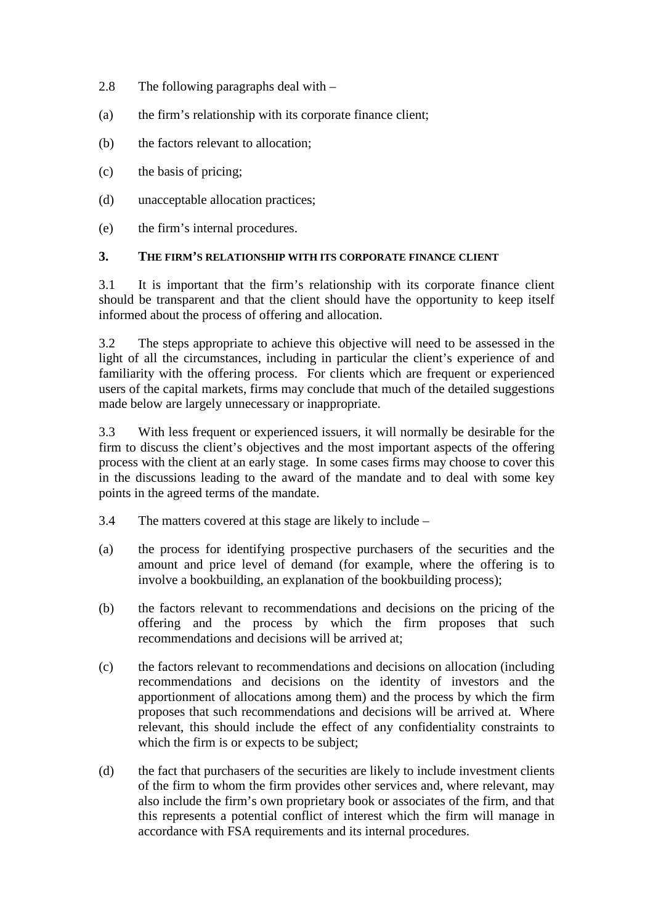- 2.8 The following paragraphs deal with –
- (a) the firm's relationship with its corporate finance client;
- (b) the factors relevant to allocation;
- (c) the basis of pricing;
- (d) unacceptable allocation practices;
- (e) the firm's internal procedures.

#### **3. THE FIRM'S RELATIONSHIP WITH ITS CORPORATE FINANCE CLIENT**

3.1 It is important that the firm's relationship with its corporate finance client should be transparent and that the client should have the opportunity to keep itself informed about the process of offering and allocation.

3.2 The steps appropriate to achieve this objective will need to be assessed in the light of all the circumstances, including in particular the client's experience of and familiarity with the offering process. For clients which are frequent or experienced users of the capital markets, firms may conclude that much of the detailed suggestions made below are largely unnecessary or inappropriate.

3.3 With less frequent or experienced issuers, it will normally be desirable for the firm to discuss the client's objectives and the most important aspects of the offering process with the client at an early stage. In some cases firms may choose to cover this in the discussions leading to the award of the mandate and to deal with some key points in the agreed terms of the mandate.

- 3.4 The matters covered at this stage are likely to include –
- (a) the process for identifying prospective purchasers of the securities and the amount and price level of demand (for example, where the offering is to involve a bookbuilding, an explanation of the bookbuilding process);
- (b) the factors relevant to recommendations and decisions on the pricing of the offering and the process by which the firm proposes that such recommendations and decisions will be arrived at;
- (c) the factors relevant to recommendations and decisions on allocation (including recommendations and decisions on the identity of investors and the apportionment of allocations among them) and the process by which the firm proposes that such recommendations and decisions will be arrived at. Where relevant, this should include the effect of any confidentiality constraints to which the firm is or expects to be subject;
- (d) the fact that purchasers of the securities are likely to include investment clients of the firm to whom the firm provides other services and, where relevant, may also include the firm's own proprietary book or associates of the firm, and that this represents a potential conflict of interest which the firm will manage in accordance with FSA requirements and its internal procedures.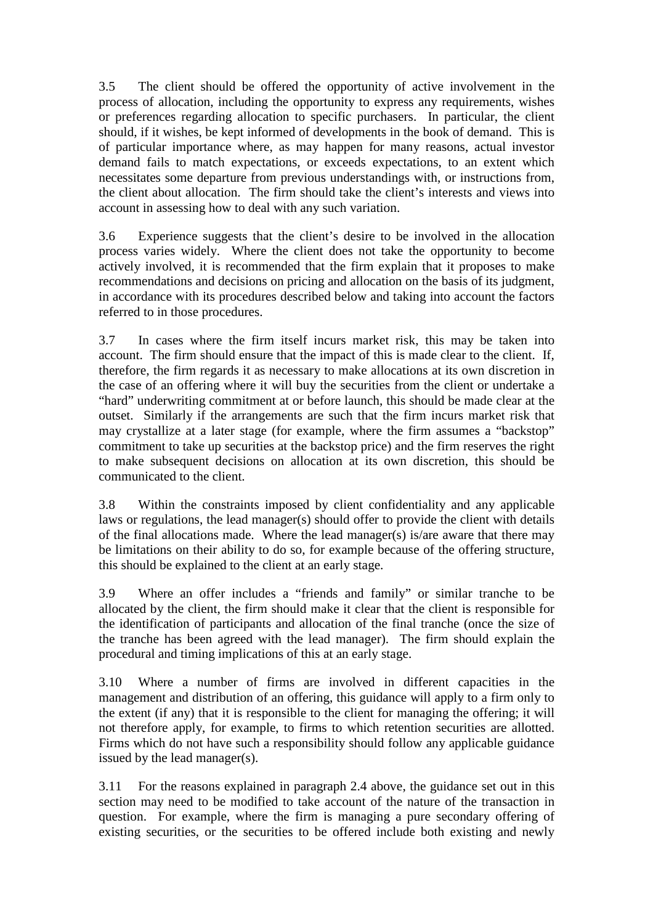3.5 The client should be offered the opportunity of active involvement in the process of allocation, including the opportunity to express any requirements, wishes or preferences regarding allocation to specific purchasers. In particular, the client should, if it wishes, be kept informed of developments in the book of demand. This is of particular importance where, as may happen for many reasons, actual investor demand fails to match expectations, or exceeds expectations, to an extent which necessitates some departure from previous understandings with, or instructions from, the client about allocation. The firm should take the client's interests and views into account in assessing how to deal with any such variation.

3.6 Experience suggests that the client's desire to be involved in the allocation process varies widely. Where the client does not take the opportunity to become actively involved, it is recommended that the firm explain that it proposes to make recommendations and decisions on pricing and allocation on the basis of its judgment, in accordance with its procedures described below and taking into account the factors referred to in those procedures.

3.7 In cases where the firm itself incurs market risk, this may be taken into account. The firm should ensure that the impact of this is made clear to the client. If, therefore, the firm regards it as necessary to make allocations at its own discretion in the case of an offering where it will buy the securities from the client or undertake a "hard" underwriting commitment at or before launch, this should be made clear at the outset. Similarly if the arrangements are such that the firm incurs market risk that may crystallize at a later stage (for example, where the firm assumes a "backstop" commitment to take up securities at the backstop price) and the firm reserves the right to make subsequent decisions on allocation at its own discretion, this should be communicated to the client.

3.8 Within the constraints imposed by client confidentiality and any applicable laws or regulations, the lead manager(s) should offer to provide the client with details of the final allocations made. Where the lead manager(s) is/are aware that there may be limitations on their ability to do so, for example because of the offering structure, this should be explained to the client at an early stage.

3.9 Where an offer includes a "friends and family" or similar tranche to be allocated by the client, the firm should make it clear that the client is responsible for the identification of participants and allocation of the final tranche (once the size of the tranche has been agreed with the lead manager). The firm should explain the procedural and timing implications of this at an early stage.

3.10 Where a number of firms are involved in different capacities in the management and distribution of an offering, this guidance will apply to a firm only to the extent (if any) that it is responsible to the client for managing the offering; it will not therefore apply, for example, to firms to which retention securities are allotted. Firms which do not have such a responsibility should follow any applicable guidance issued by the lead manager(s).

3.11 For the reasons explained in paragraph 2.4 above, the guidance set out in this section may need to be modified to take account of the nature of the transaction in question. For example, where the firm is managing a pure secondary offering of existing securities, or the securities to be offered include both existing and newly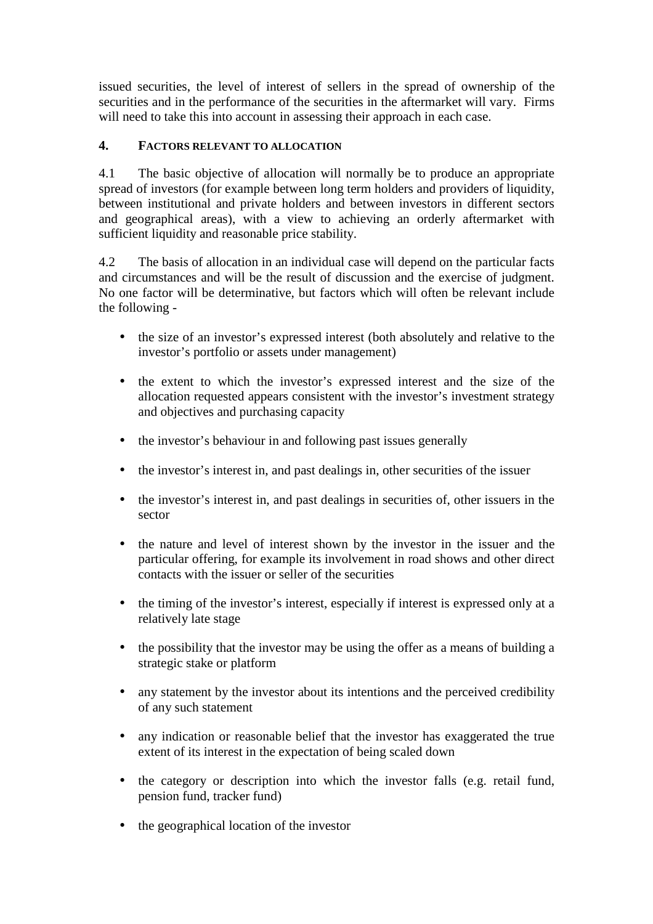issued securities, the level of interest of sellers in the spread of ownership of the securities and in the performance of the securities in the aftermarket will vary. Firms will need to take this into account in assessing their approach in each case.

# **4. FACTORS RELEVANT TO ALLOCATION**

4.1 The basic objective of allocation will normally be to produce an appropriate spread of investors (for example between long term holders and providers of liquidity, between institutional and private holders and between investors in different sectors and geographical areas), with a view to achieving an orderly aftermarket with sufficient liquidity and reasonable price stability.

4.2 The basis of allocation in an individual case will depend on the particular facts and circumstances and will be the result of discussion and the exercise of judgment. No one factor will be determinative, but factors which will often be relevant include the following -

- the size of an investor's expressed interest (both absolutely and relative to the investor's portfolio or assets under management)
- the extent to which the investor's expressed interest and the size of the allocation requested appears consistent with the investor's investment strategy and objectives and purchasing capacity
- the investor's behaviour in and following past issues generally
- the investor's interest in, and past dealings in, other securities of the issuer
- the investor's interest in, and past dealings in securities of, other issuers in the sector
- the nature and level of interest shown by the investor in the issuer and the particular offering, for example its involvement in road shows and other direct contacts with the issuer or seller of the securities
- the timing of the investor's interest, especially if interest is expressed only at a relatively late stage
- the possibility that the investor may be using the offer as a means of building a strategic stake or platform
- any statement by the investor about its intentions and the perceived credibility of any such statement
- any indication or reasonable belief that the investor has exaggerated the true extent of its interest in the expectation of being scaled down
- the category or description into which the investor falls (e.g. retail fund, pension fund, tracker fund)
- the geographical location of the investor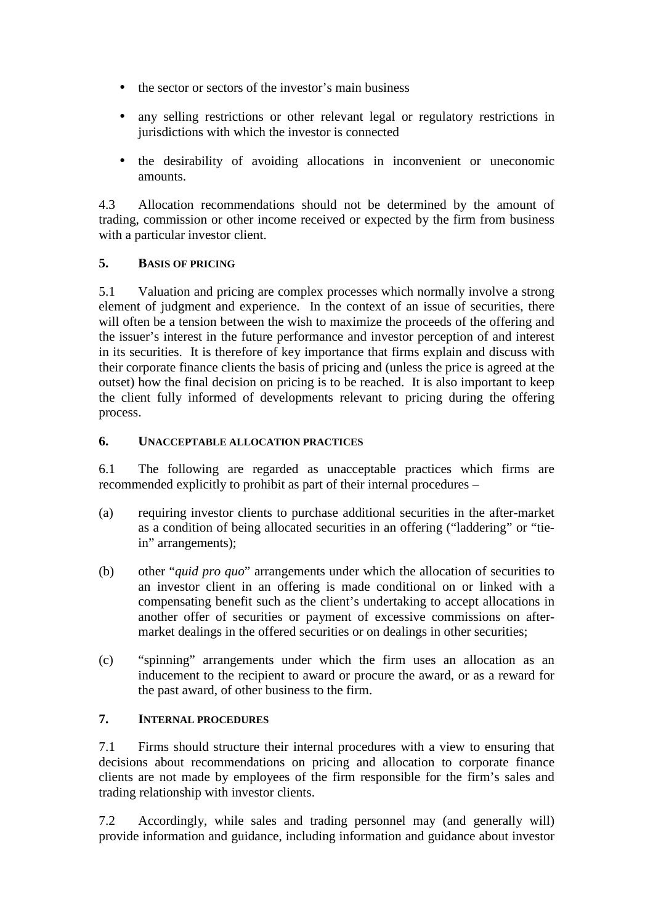- the sector or sectors of the investor's main business
- any selling restrictions or other relevant legal or regulatory restrictions in jurisdictions with which the investor is connected
- the desirability of avoiding allocations in inconvenient or uneconomic amounts.

4.3 Allocation recommendations should not be determined by the amount of trading, commission or other income received or expected by the firm from business with a particular investor client.

# **5. BASIS OF PRICING**

5.1 Valuation and pricing are complex processes which normally involve a strong element of judgment and experience. In the context of an issue of securities, there will often be a tension between the wish to maximize the proceeds of the offering and the issuer's interest in the future performance and investor perception of and interest in its securities. It is therefore of key importance that firms explain and discuss with their corporate finance clients the basis of pricing and (unless the price is agreed at the outset) how the final decision on pricing is to be reached. It is also important to keep the client fully informed of developments relevant to pricing during the offering process.

# **6. UNACCEPTABLE ALLOCATION PRACTICES**

6.1 The following are regarded as unacceptable practices which firms are recommended explicitly to prohibit as part of their internal procedures –

- (a) requiring investor clients to purchase additional securities in the after-market as a condition of being allocated securities in an offering ("laddering" or "tiein" arrangements);
- (b) other "*quid pro quo*" arrangements under which the allocation of securities to an investor client in an offering is made conditional on or linked with a compensating benefit such as the client's undertaking to accept allocations in another offer of securities or payment of excessive commissions on aftermarket dealings in the offered securities or on dealings in other securities;
- (c) "spinning" arrangements under which the firm uses an allocation as an inducement to the recipient to award or procure the award, or as a reward for the past award, of other business to the firm.

# **7. INTERNAL PROCEDURES**

7.1 Firms should structure their internal procedures with a view to ensuring that decisions about recommendations on pricing and allocation to corporate finance clients are not made by employees of the firm responsible for the firm's sales and trading relationship with investor clients.

7.2 Accordingly, while sales and trading personnel may (and generally will) provide information and guidance, including information and guidance about investor